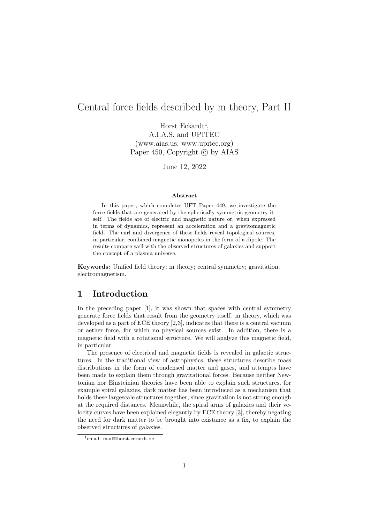# Central force fields described by m theory, Part II

Horst Eckardt<sup>1</sup>, A.I.A.S. and UPITEC (www.aias.us, www.upitec.org) Paper 450, Copyright  $\odot$  by AIAS

June 12, 2022

#### Abstract

In this paper, which completes UFT Paper 449, we investigate the force fields that are generated by the spherically symmetric geometry itself. The fields are of electric and magnetic nature or, when expressed in terms of dynamics, represent an acceleration and a gravitomagnetic field. The curl and divergence of these fields reveal topological sources, in particular, combined magnetic monopoles in the form of a dipole. The results compare well with the observed structures of galaxies and support the concept of a plasma universe.

Keywords: Unified field theory; m theory; central symmetry; gravitation; electromagnetism.

#### 1 Introduction

In the preceding paper [1], it was shown that spaces with central symmetry generate force fields that result from the geometry itself. m theory, which was developed as a part of ECE theory [2,3], indicates that there is a central vacuum or aether force, for which no physical sources exist. In addition, there is a magnetic field with a rotational structure. We will analyze this magnetic field, in particular.

The presence of electrical and magnetic fields is revealed in galactic structures. In the traditional view of astrophysics, these structures describe mass distributions in the form of condensed matter and gases, and attempts have been made to explain them through gravitational forces. Because neither Newtonian nor Einsteinian theories have been able to explain such structures, for example spiral galaxies, dark matter has been introduced as a mechanism that holds these largescale structures together, since gravitation is not strong enough at the required distances. Meanwhile, the spiral arms of galaxies and their velocity curves have been explained elegantly by ECE theory [3], thereby negating the need for dark matter to be brought into existance as a fix, to explain the observed structures of galaxies.

<sup>1</sup>email: mail@horst-eckardt.de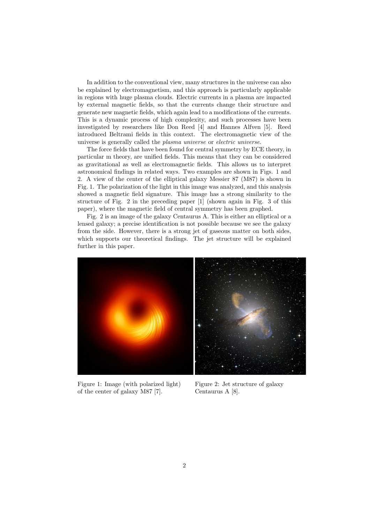In addition to the conventional view, many structures in the universe can also be explained by electromagnetism, and this approach is particularly applicable in regions with huge plasma clouds. Electric currents in a plasma are impacted by external magnetic fields, so that the currents change their structure and generate new magnetic fields, which again lead to a modifications of the currents. This is a dynamic process of high complexity, and such processes have been investigated by researchers like Don Reed [4] and Hannes Alfven [5]. Reed introduced Beltrami fields in this context. The electromagnetic view of the universe is generally called the plasma universe or electric universe.

The force fields that have been found for central symmetry by ECE theory, in particular m theory, are unified fields. This means that they can be considered as gravitational as well as electromagnetic fields. This allows us to interpret astronomical findings in related ways. Two examples are shown in Figs. 1 and 2. A view of the center of the elliptical galaxy Messier 87 (M87) is shown in Fig. 1. The polarization of the light in this image was analyzed, and this analysis showed a magnetic field signature. This image has a strong similarity to the structure of Fig. 2 in the preceding paper [1] (shown again in Fig. 3 of this paper), where the magnetic field of central symmetry has been graphed.

Fig. 2 is an image of the galaxy Centaurus A. This is either an elliptical or a lensed galaxy; a precise identification is not possible because we see the galaxy from the side. However, there is a strong jet of gaseous matter on both sides, which supports our theoretical findings. The jet structure will be explained further in this paper.



Figure 1: Image (with polarized light) of the center of galaxy M87 [7].

Figure 2: Jet structure of galaxy Centaurus A [8].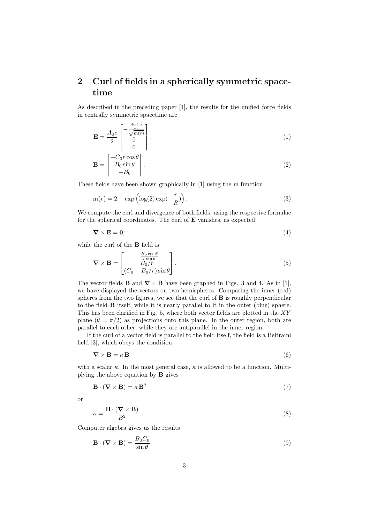## 2 Curl of fields in a spherically symmetric spacetime

As described in the preceding paper [1], the results for the unified force fields in centrally symmetric spacetime are

$$
\mathbf{E} = \frac{A_0 c}{2} \begin{bmatrix} -\frac{\frac{dm(r)}{dr}}{\sqrt{m(r)}}\\ 0\\ 0 \end{bmatrix},\tag{1}
$$

$$
\mathbf{B} = \begin{bmatrix} -C_0 r \cos \theta \\ B_0 \sin \theta \\ -B_0 \end{bmatrix} . \tag{2}
$$

These fields have been shown graphically in [1] using the m function

$$
m(r) = 2 - \exp\left(\log(2)\exp(-\frac{r}{R})\right). \tag{3}
$$

We compute the curl and divergence of both fields, using the respective formulae for the spherical coordinates. The curl of E vanishes, as expected:

$$
\nabla \times \mathbf{E} = \mathbf{0},\tag{4}
$$

while the curl of the B field is

$$
\nabla \times \mathbf{B} = \begin{bmatrix} -\frac{B_0 \cos \theta}{r \sin \theta} \\ B_0/r \\ (C_0 - B_0/r) \sin \theta \end{bmatrix}.
$$
 (5)

The vector fields **B** and  $\nabla \times \mathbf{B}$  have been graphed in Figs. 3 and 4. As in [1], we have displayed the vectors on two hemispheres. Comparing the inner (red) spheres from the two figures, we see that the curl of  $B$  is roughly perpendicular to the field B itself, while it is nearly parallel to it in the outer (blue) sphere. This has been clarified in Fig. 5, where both vector fields are plotted in the  $XY$ plane  $(\theta = \pi/2)$  as projections onto this plane. In the outer region, both are parallel to each other, while they are antiparallel in the inner region.

If the curl of a vector field is parallel to the field itself, the field is a Beltrami field [3], which obeys the condition

$$
\nabla \times \mathbf{B} = \kappa \mathbf{B} \tag{6}
$$

with a scalar  $\kappa$ . In the most general case,  $\kappa$  is allowed to be a function. Multiplying the above equation by B gives

$$
\mathbf{B} \cdot (\mathbf{\nabla} \times \mathbf{B}) = \kappa \mathbf{B}^2 \tag{7}
$$

or

 $\overline{r}$ 

$$
i = \frac{\mathbf{B} \cdot (\mathbf{\nabla} \times \mathbf{B})}{B^2}.
$$
 (8)

Computer algebra gives us the results

$$
\mathbf{B} \cdot (\mathbf{\nabla} \times \mathbf{B}) = \frac{B_0 C_0}{\sin \theta} \tag{9}
$$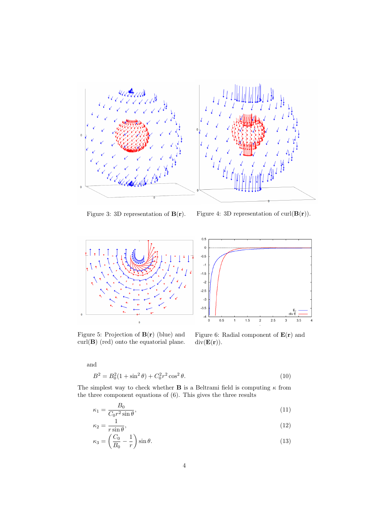



Figure 3: 3D representation of  $B(r)$ . Figure 4: 3D representation of curl $(B(r))$ .



Figure 5: Projection of  $B(r)$  (blue) and  $\text{curl}(\mathbf{B})$  (red) onto the equatorial plane.

Figure 6: Radial component of  $E(r)$  and  $div(\mathbf{E}(\mathbf{r})).$ 

and

$$
B^2 = B_0^2 (1 + \sin^2 \theta) + C_0^2 r^2 \cos^2 \theta.
$$
 (10)

The simplest way to check whether **B** is a Beltrami field is computing  $\kappa$  from the three component equations of (6). This gives the three results

$$
\kappa_1 = \frac{B_0}{C_0 r^2 \sin \theta},\tag{11}
$$

$$
\kappa_2 = \frac{1}{r \sin \theta},\tag{12}
$$

$$
\kappa_3 = \left(\frac{C_0}{B_0} - \frac{1}{r}\right) \sin \theta. \tag{13}
$$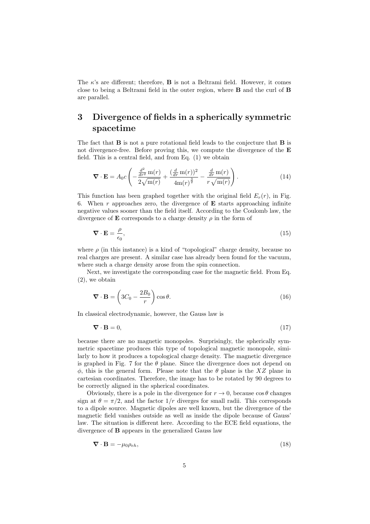The  $\kappa$ 's are different; therefore, **B** is not a Beltrami field. However, it comes close to being a Beltrami field in the outer region, where B and the curl of B are parallel.

## 3 Divergence of fields in a spherically symmetric spacetime

The fact that  $B$  is not a pure rotational field leads to the conjecture that  $B$  is not divergence-free. Before proving this, we compute the divergence of the  $E$ field. This is a central field, and from Eq. (1) we obtain

$$
\nabla \cdot \mathbf{E} = A_0 c \left( -\frac{\frac{d^2}{dr^2} \operatorname{m}(r)}{2\sqrt{\operatorname{m}(r)}} + \frac{(\frac{d}{dr} \operatorname{m}(r))^2}{4\operatorname{m}(r)^{\frac{3}{2}}} - \frac{\frac{d}{dr} \operatorname{m}(r)}{r \sqrt{\operatorname{m}(r)}} \right).
$$
(14)

This function has been graphed together with the original field  $E_r(r)$ , in Fig. 6. When  $r$  approaches zero, the divergence of  $E$  starts approaching infinite negative values sooner than the field itself. According to the Coulomb law, the divergence of **E** corresponds to a charge density  $\rho$  in the form of

$$
\nabla \cdot \mathbf{E} = \frac{\rho}{\epsilon_0},\tag{15}
$$

where  $\rho$  (in this instance) is a kind of "topological" charge density, because no real charges are present. A similar case has already been found for the vacuum, where such a charge density arose from the spin connection.

Next, we investigate the corresponding case for the magnetic field. From Eq. (2), we obtain

$$
\nabla \cdot \mathbf{B} = \left(3C_0 - \frac{2B_0}{r}\right) \cos \theta. \tag{16}
$$

In classical electrodynamic, however, the Gauss law is

$$
\nabla \cdot \mathbf{B} = 0,\tag{17}
$$

because there are no magnetic monopoles. Surprisingly, the spherically symmetric spacetime produces this type of topological magnetic monopole, similarly to how it produces a topological charge density. The magnetic divergence is graphed in Fig. 7 for the  $\theta$  plane. Since the divergence does not depend on  $\phi$ , this is the general form. Please note that the  $\theta$  plane is the XZ plane in cartesian coordinates. Therefore, the image has to be rotated by 90 degrees to be correctly aligned in the spherical coordinates.

Obviously, there is a pole in the divergence for  $r \to 0$ , because  $\cos \theta$  changes sign at  $\theta = \pi/2$ , and the factor  $1/r$  diverges for small radii. This corresponds to a dipole source. Magnetic dipoles are well known, but the divergence of the magnetic field vanishes outside as well as inside the dipole because of Gauss' law. The situation is different here. According to the ECE field equations, the divergence of B appears in the generalized Gauss law

$$
\nabla \cdot \mathbf{B} = -\mu_0 \rho_{eh},\tag{18}
$$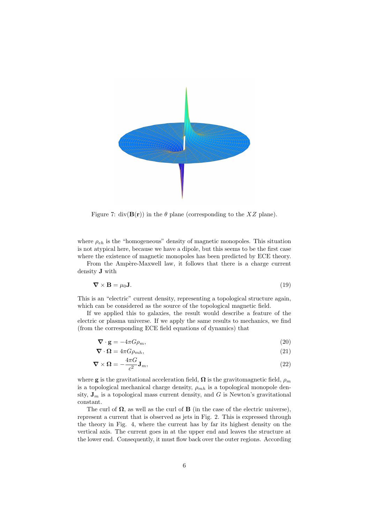

Figure 7: div( $\mathbf{B}(\mathbf{r})$ ) in the  $\theta$  plane (corresponding to the XZ plane).

where  $\rho_{eh}$  is the "homogeneous" density of magnetic monopoles. This situation is not atypical here, because we have a dipole, but this seems to be the first case where the existence of magnetic monopoles has been predicted by ECE theory.

From the Ampère-Maxwell law, it follows that there is a charge current density J with

$$
\nabla \times \mathbf{B} = \mu_0 \mathbf{J}.
$$
 (19)

This is an "electric" current density, representing a topological structure again, which can be considered as the source of the topological magnetic field.

If we applied this to galaxies, the result would describe a feature of the electric or plasma universe. If we apply the same results to mechanics, we find (from the corresponding ECE field equations of dynamics) that

$$
\nabla \cdot \mathbf{g} = -4\pi G \rho_m,\tag{20}
$$

$$
\nabla \cdot \mathbf{\Omega} = 4\pi G \rho_{mh},\tag{21}
$$

$$
\nabla \times \Omega = -\frac{4\pi G}{c^2} \mathbf{J}_m,\tag{22}
$$

where **g** is the gravitational acceleration field,  $\Omega$  is the gravitomagnetic field,  $\rho_m$ is a topological mechanical charge density,  $\rho_{mh}$  is a topological monopole density,  $J_m$  is a topological mass current density, and G is Newton's gravitational constant.

The curl of  $\Omega$ , as well as the curl of **B** (in the case of the electric universe), represent a current that is observed as jets in Fig. 2. This is expressed through the theory in Fig. 4, where the current has by far its highest density on the vertical axis. The current goes in at the upper end and leaves the structure at the lower end. Consequently, it must flow back over the outer regions. According